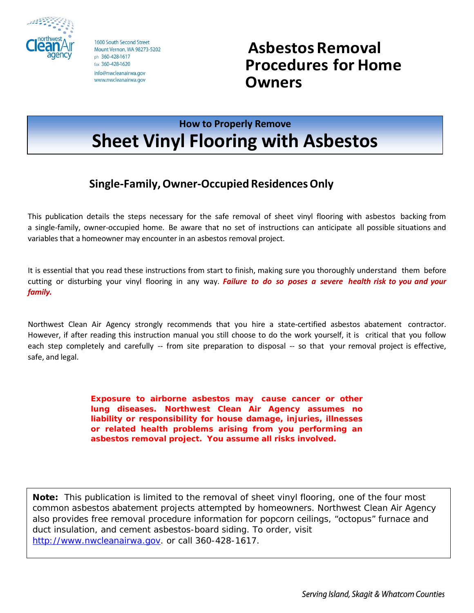

1600 South Second Street Mount Vernon, WA 98273-5202 ph 360-428-1617 fax 360-428-1620 info@nwcleanairwa.gov www.nwcleanairwa.gov

**Asbestos Removal Procedures for Home Owners**

# **How to Properly Remove Sheet Vinyl Flooring with Asbestos**

## **Single-Family,Owner-Occupied ResidencesOnly**

This publication details the steps necessary for the safe removal of sheet vinyl flooring with asbestos backing from a single-family, owner-occupied home. Be aware that no set of instructions can anticipate all possible situations and variables that a homeowner may encounter in an asbestos removal project.

It is essential that you read these instructions from start to finish, making sure you thoroughly understand them before cutting or disturbing your vinyl flooring in any way. *Failure to do so poses a severe health risk to you and your family.*

Northwest Clean Air Agency strongly recommends that you hire a state-certified asbestos abatement contractor. However, if after reading this instruction manual you still choose to do the work yourself, it is critical that you follow each step completely and carefully -- from site preparation to disposal -- so that your removal project is effective, safe, and legal.

> **Exposure to airborne asbestos may cause cancer or other lung diseases. Northwest Clean Air Agency assumes no liability or responsibility for house damage, injuries, illnesses or related health problems arising from you performing an asbestos removal project. You assume all risks involved.**

*Note: This publication is limited to the removal of sheet vinyl flooring, one of the four most common asbestos abatement projects attempted by homeowners. Northwest Clean Air Agency also provides free removal procedure information for popcorn ceilings, "octopus" furnace and duct insulation, and cement asbestos-board siding. To order, visit [http://www.nwcleanairwa.gov.](http://www.nwcleanairwa.gov/) or call 360-428-1617.*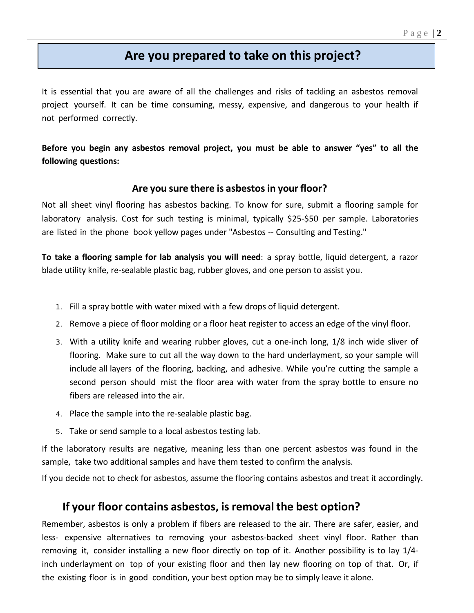## **Are you prepared to take on this project?**

It is essential that you are aware of all the challenges and risks of tackling an asbestos removal project yourself. It can be time consuming, messy, expensive, and dangerous to your health if not performed correctly.

**Before you begin any asbestos removal project, you must be able to answer "yes" to all the following questions:**

### **Are you sure there is asbestos in your floor?**

Not all sheet vinyl flooring has asbestos backing. To know for sure, submit a flooring sample for laboratory analysis. Cost for such testing is minimal, typically \$25-\$50 per sample. Laboratories are listed in the phone book yellow pages under "Asbestos -- Consulting and Testing."

**To take a flooring sample for lab analysis you will need**: a spray bottle, liquid detergent, a razor blade utility knife, re-sealable plastic bag, rubber gloves, and one person to assist you.

- 1. Fill a spray bottle with water mixed with a few drops of liquid detergent.
- 2. Remove a piece of floor molding or a floor heat register to access an edge of the vinyl floor.
- 3. With a utility knife and wearing rubber gloves, cut a one-inch long, 1/8 inch wide sliver of flooring. Make sure to cut all the way down to the hard underlayment, so your sample will include all layers of the flooring, backing, and adhesive. While you're cutting the sample a second person should mist the floor area with water from the spray bottle to ensure no fibers are released into the air.
- 4. Place the sample into the re-sealable plastic bag.
- 5. Take or send sample to a local asbestos testing lab.

If the laboratory results are negative, meaning less than one percent asbestos was found in the sample, take two additional samples and have them tested to confirm the analysis.

If you decide not to check for asbestos, assume the flooring contains asbestos and treat it accordingly.

## **If your floor contains asbestos, is removal the best option?**

Remember, asbestos is only a problem if fibers are released to the air. There are safer, easier, and less- expensive alternatives to removing your asbestos-backed sheet vinyl floor. Rather than removing it, consider installing a new floor directly on top of it. Another possibility is to lay 1/4 inch underlayment on top of your existing floor and then lay new flooring on top of that. Or, if the existing floor is in good condition, your best option may be to simply leave it alone.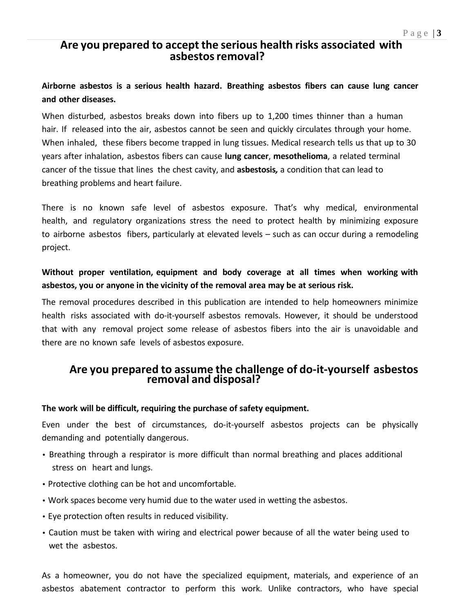## **Are you prepared to accept the serious health risks associated with asbestosremoval?**

## **Airborne asbestos is a serious health hazard. Breathing asbestos fibers can cause lung cancer and other diseases.**

When disturbed, asbestos breaks down into fibers up to 1,200 times thinner than a human hair. If released into the air, asbestos cannot be seen and quickly circulates through your home. When inhaled, these fibers become trapped in lung tissues. Medical research tells us that up to 30 years after inhalation, asbestos fibers can cause **lung cancer**, **mesothelioma**, a related terminal cancer of the tissue that lines the chest cavity, and **asbestosis***,* a condition that can lead to breathing problems and heart failure.

There is no known safe level of asbestos exposure. That's why medical, environmental health, and regulatory organizations stress the need to protect health by minimizing exposure to airborne asbestos fibers, particularly at elevated levels – such as can occur during a remodeling project.

## **Without proper ventilation, equipment and body coverage at all times when working with asbestos, you or anyone in the vicinity of the removal area may be at serious risk.**

The removal procedures described in this publication are intended to help homeowners minimize health risks associated with do-it-yourself asbestos removals. However, it should be understood that with any removal project some release of asbestos fibers into the air is unavoidable and there are no known safe levels of asbestos exposure.

## **Are you prepared to assume the challenge of do-it-yourself asbestos removal and disposal?**

#### **The work will be difficult, requiring the purchase of safety equipment.**

Even under the best of circumstances, do-it-yourself asbestos projects can be physically demanding and potentially dangerous.

- Breathing through a respirator is more difficult than normal breathing and places additional stress on heart and lungs.
- Protective clothing can be hot and uncomfortable.
- Work spaces become very humid due to the water used in wetting the asbestos.
- Eye protection often results in reduced visibility.
- Caution must be taken with wiring and electrical power because of all the water being used to wet the asbestos.

As a homeowner, you do not have the specialized equipment, materials, and experience of an asbestos abatement contractor to perform this work. Unlike contractors, who have special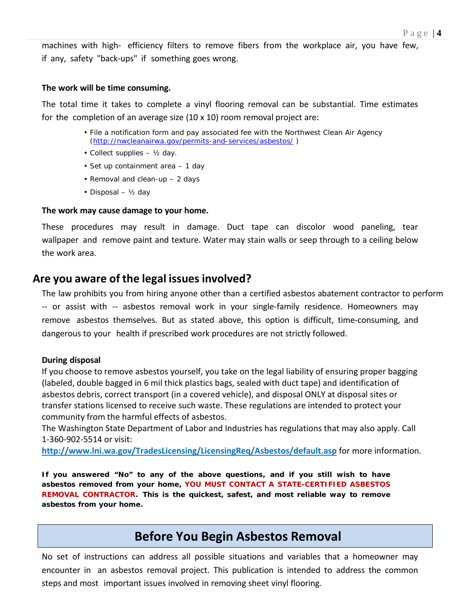machines with high- efficiency filters to remove fibers from the workplace air, you have few, if any, safety "back-ups" if something goes wrong.

#### **The work will be time consuming.**

The total time it takes to complete a vinyl flooring removal can be substantial. Time estimates for the completion of an average size  $(10 \times 10)$  room removal project are:

- File a notification form and pay associated fee with the Northwest Clean Air Agency [\(http://nwcleanairwa.gov/permits-and-services/asbestos/](http://nwcleanairwa.gov/permits-and-services/asbestos/) )
- Collect supplies ½ day.
- Set up containment area 1 day
- Removal and clean-up 2 days
- Disposal ½ day

#### **The work may cause damage to your home.**

These procedures may result in damage. Duct tape can discolor wood paneling, tear wallpaper and remove paint and texture. Water may stain walls or seep through to a ceiling below the work area.

## **Are you aware of the legal issues involved?**

The law prohibits you from hiring anyone other than a certified asbestos abatement contractor to perform -- or assist with -- asbestos removal work in your single-family residence. Homeowners may remove asbestos themselves. But as stated above, this option is difficult, time-consuming, and dangerous to your health if prescribed work procedures are not strictly followed.

#### **During disposal**

If you choose to remove asbestos yourself, you take on the legal liability of ensuring proper bagging (labeled, double bagged in 6 mil thick plastics bags, sealed with duct tape) and identification of asbestos debris, correct transport (in a covered vehicle), and disposal ONLY at disposal sites or transfer stations licensed to receive such waste. These regulations are intended to protect your community from the harmful effects of asbestos.

The Washington State Department of Labor and Industries has regulations that may also apply. Call 1-360-902-5514 or visit:

**http://www.lni.wa.gov/TradesLicensing/LicensingReq/Asbestos/default.asp** for more information.

*If you answered "No" to any of the above questions, and if you still wish to have asbestos removed from your home, YOU MUST CONTACT A STATE-CERTIFIED ASBESTOS REMOVAL CONTRACTOR. This is the quickest, safest, and most reliable way to remove asbestos from your home.*

## **Before You Begin Asbestos Removal**

No set of instructions can address all possible situations and variables that a homeowner may encounter in an asbestos removal project. This publication is intended to address the common steps and most important issues involved in removing sheet vinyl flooring.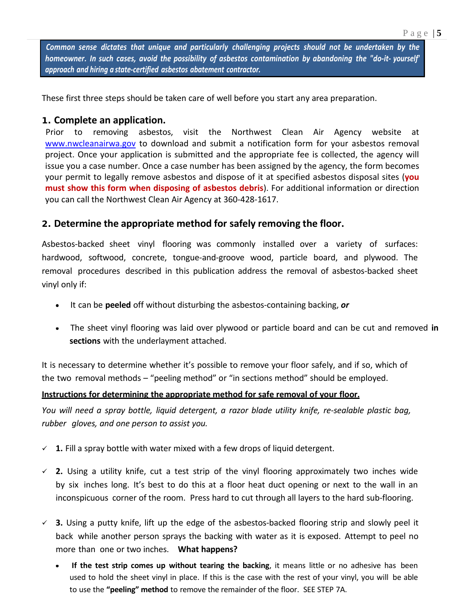*Common sense dictates that unique and particularly challenging projects should not be undertaken by the homeowner. In such cases, avoid the possibility of asbestos contamination by abandoning the "do-it- yourself' approach and hiring a state-certified asbestos abatement contractor.*

These first three steps should be taken care of well before you start any area preparation.

#### **1. Complete an application.**

Prior to removing asbestos, visit the Northwest Clean Air Agency website at [www.nwcleanairwa.gov](http://www.nwcleanairwa.gov/) to download and submit a notification form for your asbestos removal project. Once your application is submitted and the appropriate fee is collected, the agency will issue you a case number. Once a case number has been assigned by the agency, the form becomes your permit to legally remove asbestos and dispose of it at specified asbestos disposal sites (**you must show this form when disposing of asbestos debris**). For additional information or direction you can call the Northwest Clean Air Agency at 360-428-1617.

### **2. Determine the appropriate method for safely removing the floor.**

Asbestos-backed sheet vinyl flooring was commonly installed over a variety of surfaces: hardwood, softwood, concrete, tongue-and-groove wood, particle board, and plywood. The removal procedures described in this publication address the removal of asbestos-backed sheet vinyl only if:

- It can be **peeled** off without disturbing the asbestos-containing backing, *or*
- The sheet vinyl flooring was laid over plywood or particle board and can be cut and removed **in sections** with the underlayment attached.

It is necessary to determine whether it's possible to remove your floor safely, and if so, which of the two removal methods – "peeling method" or "in sections method" should be employed.

#### **Instructions for determining the appropriate method for safe removal of your floor.**

*You will need a spray bottle, liquid detergent, a razor blade utility knife, re-sealable plastic bag, rubber gloves, and one person to assist you.*

- $\checkmark$  1. Fill a spray bottle with water mixed with a few drops of liquid detergent.
- **2.** Using a utility knife, cut a test strip of the vinyl flooring approximately two inches wide by six inches long. It's best to do this at a floor heat duct opening or next to the wall in an inconspicuous corner of the room. Press hard to cut through all layers to the hard sub-flooring.
- **3.** Using a putty knife, lift up the edge of the asbestos-backed flooring strip and slowly peel it back while another person sprays the backing with water as it is exposed. Attempt to peel no more than one or two inches. **What happens?**
	- **If the test strip comes up without tearing the backing**, it means little or no adhesive has been used to hold the sheet vinyl in place. If this is the case with the rest of your vinyl, you will be able to use the **"peeling" method** to remove the remainder of the floor. SEE STEP 7A.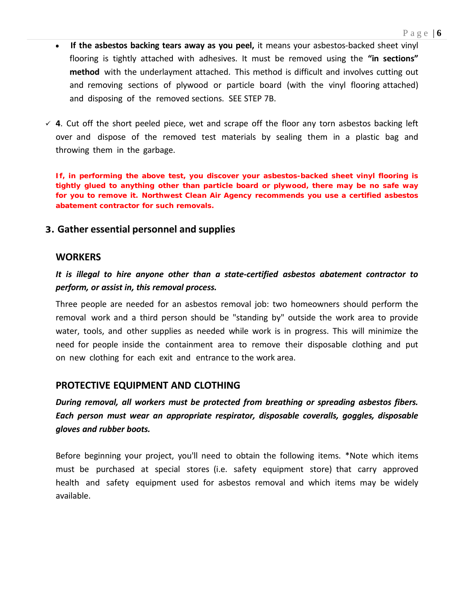- **If the asbestos backing tears away as you peel,** it means your asbestos-backed sheet vinyl flooring is tightly attached with adhesives. It must be removed using the **"in sections" method** with the underlayment attached. This method is difficult and involves cutting out and removing sections of plywood or particle board (with the vinyl flooring attached) and disposing of the removed sections. SEE STEP 7B.
- **4**. Cut off the short peeled piece, wet and scrape off the floor any torn asbestos backing left over and dispose of the removed test materials by sealing them in a plastic bag and throwing them in the garbage.

**If, in performing the above test, you discover your asbestos-backed sheet vinyl flooring is tightly glued to anything other than particle board or plywood, there may be no safe way for you to remove it. Northwest Clean Air Agency recommends you use a certified asbestos abatement contractor for such removals.**

#### **3. Gather essential personnel and supplies**

#### **WORKERS**

*It is illegal to hire anyone other than a state-certified asbestos abatement contractor to perform, or assist in, this removal process.*

Three people are needed for an asbestos removal job: two homeowners should perform the removal work and a third person should be "standing by" outside the work area to provide water, tools, and other supplies as needed while work is in progress. This will minimize the need for people inside the containment area to remove their disposable clothing and put on new clothing for each exit and entrance to the work area.

#### **PROTECTIVE EQUIPMENT AND CLOTHING**

*During removal, all workers must be protected from breathing or spreading asbestos fibers. Each person must wear an appropriate respirator, disposable coveralls, goggles, disposable gloves and rubber boots.*

Before beginning your project, you'll need to obtain the following items. \*Note which items must be purchased at special stores (i.e. safety equipment store) that carry approved health and safety equipment used for asbestos removal and which items may be widely available.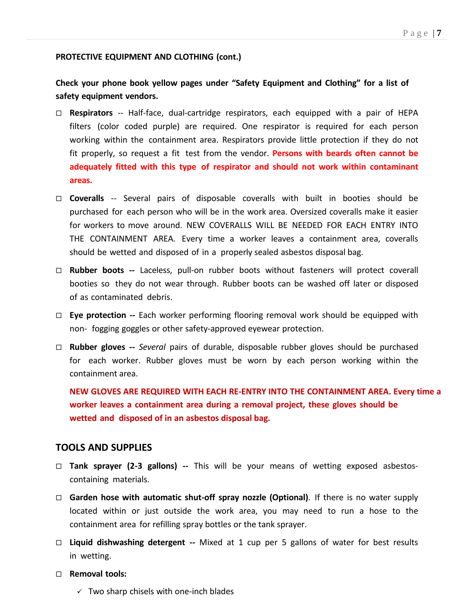#### **PROTECTIVE EQUIPMENT AND CLOTHING (cont.)**

**Check your phone book yellow pages under "Safety Equipment and Clothing" for a list of safety equipment vendors.**

- **Respirators** -- Half-face, dual-cartridge respirators, each equipped with a pair of HEPA filters (color coded purple) are required. One respirator is required for each person working within the containment area. Respirators provide little protection if they do not fit properly, so request a fit test from the vendor. **Persons with beards often cannot be adequately fitted with this type of respirator and should not work within contaminant areas.**
- **Coveralls** -- Several pairs of disposable coveralls with built in booties should be purchased for each person who will be in the work area. Oversized coveralls make it easier for workers to move around. NEW COVERALLS WILL BE NEEDED FOR EACH ENTRY INTO THE CONTAINMENT AREA. Every time a worker leaves a containment area, coveralls should be wetted and disposed of in a properly sealed asbestos disposal bag.
- **Rubber boots --** Laceless, pull-on rubber boots without fasteners will protect coverall booties so they do not wear through. Rubber boots can be washed off later or disposed of as contaminated debris.
- **Eye protection --** Each worker performing flooring removal work should be equipped with non- fogging goggles or other safety-approved eyewear protection.
- **Rubber gloves --** *Several* pairs of durable, disposable rubber gloves should be purchased for each worker. Rubber gloves must be worn by each person working within the containment area.

**NEW GLOVES ARE REQUIRED WITH EACH RE-ENTRY INTO THE CONTAINMENT AREA. Every time a worker leaves a containment area during a removal project, these gloves should be wetted and disposed of in an asbestos disposal bag.**

#### **TOOLS AND SUPPLIES**

- **Tank sprayer (2-3 gallons) --** This will be your means of wetting exposed asbestoscontaining materials.
- **Garden hose with automatic shut-off spray nozzle (Optional)**. If there is no water supply located within or just outside the work area, you may need to run a hose to the containment area for refilling spray bottles or the tank sprayer.
- **Liquid dishwashing detergent --** Mixed at 1 cup per 5 gallons of water for best results in wetting.
- **Removal tools:**
	- $\checkmark$  Two sharp chisels with one-inch blades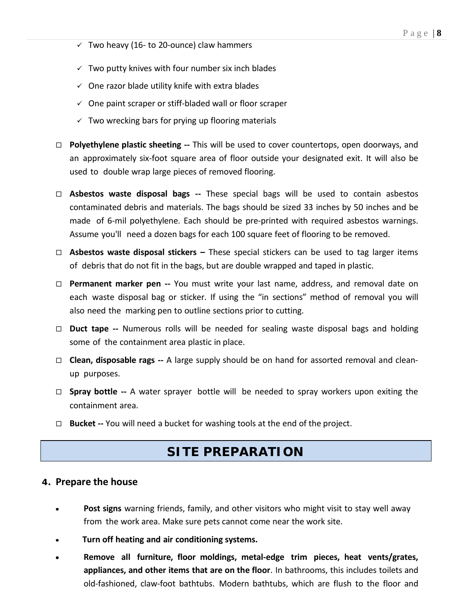- $\checkmark$  Two heavy (16- to 20-ounce) claw hammers
- $\checkmark$  Two putty knives with four number six inch blades
- $\checkmark$  One razor blade utility knife with extra blades
- $\checkmark$  One paint scraper or stiff-bladed wall or floor scraper
- $\checkmark$  Two wrecking bars for prying up flooring materials
- **Polyethylene plastic sheeting --** This will be used to cover countertops, open doorways, and an approximately six-foot square area of floor outside your designated exit. It will also be used to double wrap large pieces of removed flooring.
- **Asbestos waste disposal bags --** These special bags will be used to contain asbestos contaminated debris and materials. The bags should be sized 33 inches by 50 inches and be made of 6-mil polyethylene. Each should be pre-printed with required asbestos warnings. Assume you'll need a dozen bags for each 100 square feet of flooring to be removed.
- **Asbestos waste disposal stickers –** These special stickers can be used to tag larger items of debris that do not fit in the bags, but are double wrapped and taped in plastic.
- **Permanent marker pen --** You must write your last name, address, and removal date on each waste disposal bag or sticker. If using the "in sections" method of removal you will also need the marking pen to outline sections prior to cutting.
- **Duct tape --** Numerous rolls will be needed for sealing waste disposal bags and holding some of the containment area plastic in place.
- **Clean, disposable rags --** A large supply should be on hand for assorted removal and cleanup purposes.
- **Spray bottle --** A water sprayer bottle will be needed to spray workers upon exiting the containment area.
- **Bucket --** You will need a bucket for washing tools at the end of the project.

## **SITE PREPARATION**

#### **4. Prepare the house**

- **Post signs** warning friends, family, and other visitors who might visit to stay well away from the work area. Make sure pets cannot come near the work site.
- **Turn off heating and air conditioning systems.**  $\bullet$
- **Remove all furniture, floor moldings, metal-edge trim pieces, heat vents/grates, appliances, and other items that are on the floor**. In bathrooms, this includes toilets and old-fashioned, claw-foot bathtubs. Modern bathtubs, which are flush to the floor and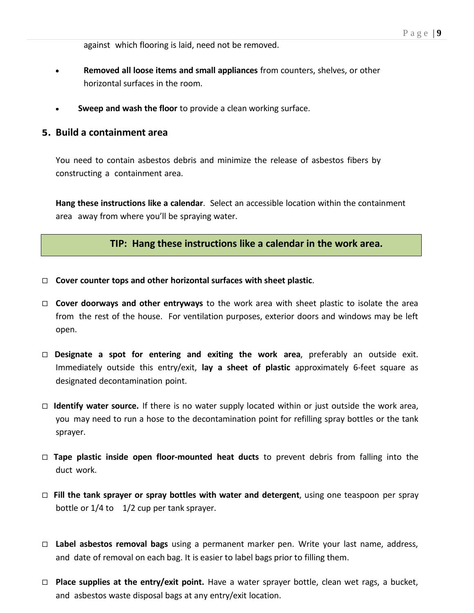against which flooring is laid, need not be removed.

- **Removed all loose items and small appliances** from counters, shelves, or other  $\bullet$ horizontal surfaces in the room.
- **Sweep and wash the floor** to provide a clean working surface.

#### **5. Build a containment area**

You need to contain asbestos debris and minimize the release of asbestos fibers by constructing a containment area.

**Hang these instructions like a calendar**. Select an accessible location within the containment area away from where you'll be spraying water.

#### **TIP: Hang these instructions like a calendar in the work area.**

- **Cover counter tops and other horizontal surfaces with sheet plastic**.
- **Cover doorways and other entryways** to the work area with sheet plastic to isolate the area from the rest of the house. For ventilation purposes, exterior doors and windows may be left open.
- **Designate a spot for entering and exiting the work area**, preferably an outside exit. Immediately outside this entry/exit, **lay a sheet of plastic** approximately 6-feet square as designated decontamination point.
- **Identify water source.** If there is no water supply located within or just outside the work area, you may need to run a hose to the decontamination point for refilling spray bottles or the tank sprayer.
- **Tape plastic inside open floor-mounted heat ducts** to prevent debris from falling into the duct work.
- **Fill the tank sprayer or spray bottles with water and detergent**, using one teaspoon per spray bottle or  $1/4$  to  $1/2$  cup per tank sprayer.
- **Label asbestos removal bags** using a permanent marker pen. Write your last name, address, and date of removal on each bag. It is easier to label bags prior to filling them.
- **Place supplies at the entry/exit point.** Have a water sprayer bottle, clean wet rags, a bucket, and asbestos waste disposal bags at any entry/exit location.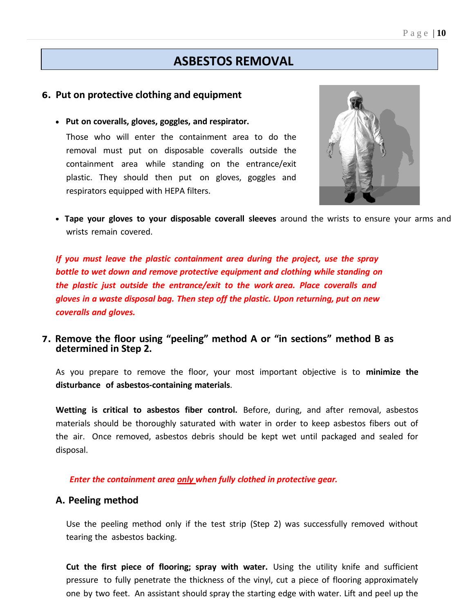## **ASBESTOS REMOVAL**

#### **6. Put on protective clothing and equipment**

**Put on coveralls, gloves, goggles, and respirator.**

Those who will enter the containment area to do the removal must put on disposable coveralls outside the containment area while standing on the entrance/exit plastic. They should then put on gloves, goggles and respirators equipped with HEPA filters.



**Tape your gloves to your disposable coverall sleeves** around the wrists to ensure your arms and wrists remain covered.

*If you must leave the plastic containment area during the project, use the spray bottle to wet down and remove protective equipment and clothing while standing on the plastic just outside the entrance/exit to the work area. Place coveralls and gloves in a waste disposal bag. Then step off the plastic. Upon returning, put on new coveralls and gloves.*

### **7. Remove the floor using "peeling" method A or "in sections" method B as determined in Step 2.**

As you prepare to remove the floor, your most important objective is to **minimize the disturbance of asbestos-containing materials**.

**Wetting is critical to asbestos fiber control.** Before, during, and after removal, asbestos materials should be thoroughly saturated with water in order to keep asbestos fibers out of the air. Once removed, asbestos debris should be kept wet until packaged and sealed for disposal.

*Enter the containment area only when fully clothed in protective gear.*

#### **A. Peeling method**

Use the peeling method only if the test strip (Step 2) was successfully removed without tearing the asbestos backing.

**Cut the first piece of flooring; spray with water.** Using the utility knife and sufficient pressure to fully penetrate the thickness of the vinyl, cut a piece of flooring approximately one by two feet. An assistant should spray the starting edge with water. Lift and peel up the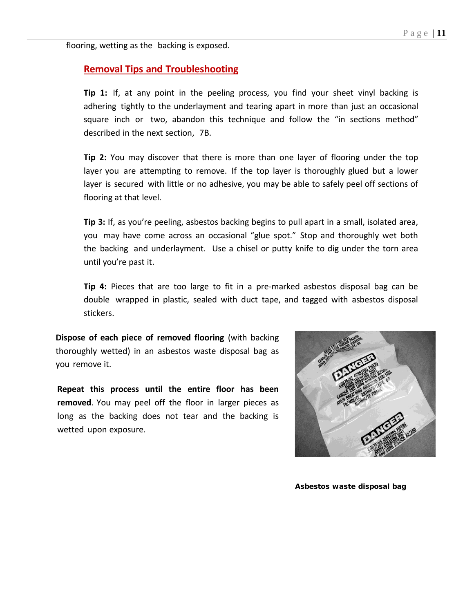flooring, wetting as the backing is exposed.

#### **Removal Tips and Troubleshooting**

**Tip 1:** If, at any point in the peeling process, you find your sheet vinyl backing is adhering tightly to the underlayment and tearing apart in more than just an occasional square inch or two, abandon this technique and follow the "in sections method" described in the next section, 7B.

**Tip 2:** You may discover that there is more than one layer of flooring under the top layer you are attempting to remove. If the top layer is thoroughly glued but a lower layer is secured with little or no adhesive, you may be able to safely peel off sections of flooring at that level.

**Tip 3:** If, as you're peeling, asbestos backing begins to pull apart in a small, isolated area, you may have come across an occasional "glue spot." Stop and thoroughly wet both the backing and underlayment. Use a chisel or putty knife to dig under the torn area until you're past it.

**Tip 4:** Pieces that are too large to fit in a pre-marked asbestos disposal bag can be double wrapped in plastic, sealed with duct tape, and tagged with asbestos disposal stickers.

**Dispose of each piece of removed flooring** (with backing thoroughly wetted) in an asbestos waste disposal bag as you remove it.

**Repeat this process until the entire floor has been removed**. You may peel off the floor in larger pieces as long as the backing does not tear and the backing is wetted upon exposure.



**Asbestos waste disposal bag**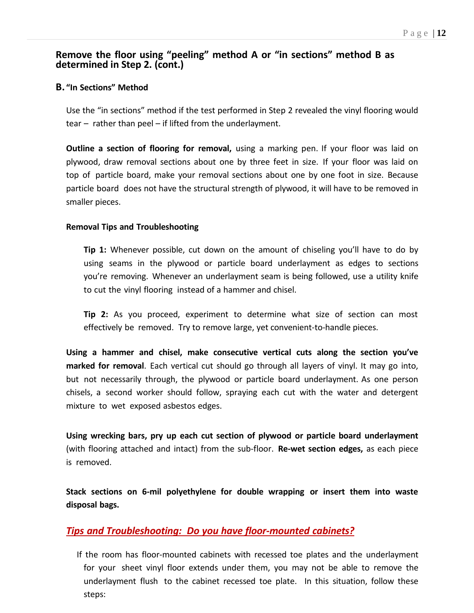### **Remove the floor using "peeling" method A or "in sections" method B as determined in Step 2. (cont.)**

#### **B. "In Sections" Method**

Use the "in sections" method if the test performed in Step 2 revealed the vinyl flooring would tear – rather than peel – if lifted from the underlayment.

**Outline a section of flooring for removal,** using a marking pen. If your floor was laid on plywood, draw removal sections about one by three feet in size. If your floor was laid on top of particle board, make your removal sections about one by one foot in size. Because particle board does not have the structural strength of plywood, it will have to be removed in smaller pieces.

#### **Removal Tips and Troubleshooting**

**Tip 1:** Whenever possible, cut down on the amount of chiseling you'll have to do by using seams in the plywood or particle board underlayment as edges to sections you're removing. Whenever an underlayment seam is being followed, use a utility knife to cut the vinyl flooring instead of a hammer and chisel.

**Tip 2:** As you proceed, experiment to determine what size of section can most effectively be removed. Try to remove large, yet convenient-to-handle pieces.

**Using a hammer and chisel, make consecutive vertical cuts along the section you've marked for removal**. Each vertical cut should go through all layers of vinyl. It may go into, but not necessarily through, the plywood or particle board underlayment. As one person chisels, a second worker should follow, spraying each cut with the water and detergent mixture to wet exposed asbestos edges.

**Using wrecking bars, pry up each cut section of plywood or particle board underlayment** (with flooring attached and intact) from the sub-floor. **Re-wet section edges,** as each piece is removed.

**Stack sections on 6-mil polyethylene for double wrapping or insert them into waste disposal bags.**

#### *Tips and Troubleshooting: Do you have floor-mounted cabinets?*

If the room has floor-mounted cabinets with recessed toe plates and the underlayment for your sheet vinyl floor extends under them, you may not be able to remove the underlayment flush to the cabinet recessed toe plate. In this situation, follow these steps: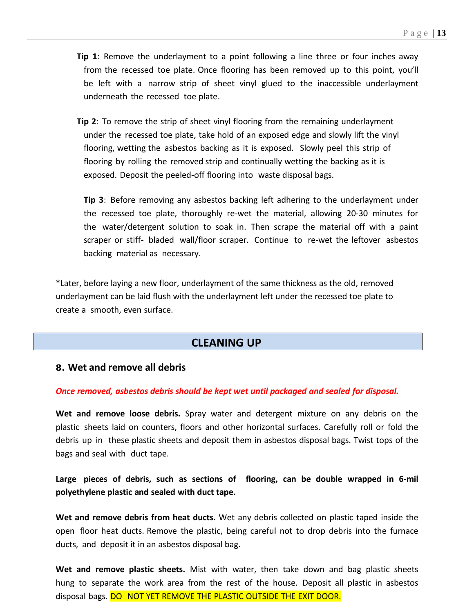- **Tip 1**: Remove the underlayment to a point following a line three or four inches away from the recessed toe plate. Once flooring has been removed up to this point, you'll be left with a narrow strip of sheet vinyl glued to the inaccessible underlayment underneath the recessed toe plate.
- **Tip 2**: To remove the strip of sheet vinyl flooring from the remaining underlayment under the recessed toe plate, take hold of an exposed edge and slowly lift the vinyl flooring, wetting the asbestos backing as it is exposed. Slowly peel this strip of flooring by rolling the removed strip and continually wetting the backing as it is exposed. Deposit the peeled-off flooring into waste disposal bags.

**Tip 3**: Before removing any asbestos backing left adhering to the underlayment under the recessed toe plate, thoroughly re-wet the material, allowing 20-30 minutes for the water/detergent solution to soak in. Then scrape the material off with a paint scraper or stiff- bladed wall/floor scraper. Continue to re-wet the leftover asbestos backing material as necessary.

\*Later, before laying a new floor, underlayment of the same thickness as the old, removed underlayment can be laid flush with the underlayment left under the recessed toe plate to create a smooth, even surface.

## **CLEANING UP**

#### **8. Wet and remove all debris**

#### *Once removed, asbestos debris should be kept wet until packaged and sealed for disposal.*

**Wet and remove loose debris.** Spray water and detergent mixture on any debris on the plastic sheets laid on counters, floors and other horizontal surfaces. Carefully roll or fold the debris up in these plastic sheets and deposit them in asbestos disposal bags. Twist tops of the bags and seal with duct tape.

**Large pieces of debris, such as sections of flooring, can be double wrapped in 6-mil polyethylene plastic and sealed with duct tape.**

**Wet and remove debris from heat ducts.** Wet any debris collected on plastic taped inside the open floor heat ducts. Remove the plastic, being careful not to drop debris into the furnace ducts, and deposit it in an asbestos disposal bag.

**Wet and remove plastic sheets.** Mist with water, then take down and bag plastic sheets hung to separate the work area from the rest of the house. Deposit all plastic in asbestos disposal bags. DO NOT YET REMOVE THE PLASTIC OUTSIDE THE EXIT DOOR.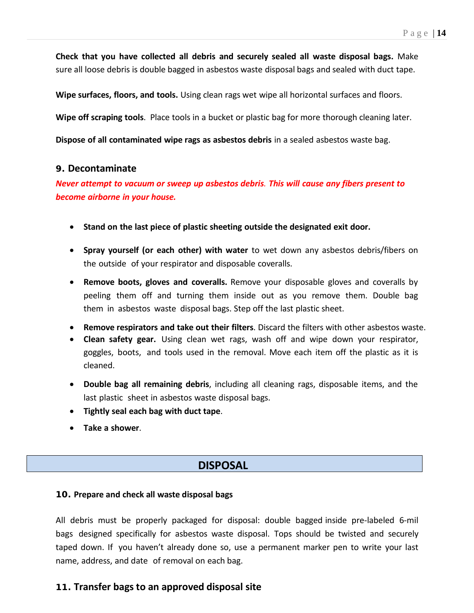**Check that you have collected all debris and securely sealed all waste disposal bags.** Make sure all loose debris is double bagged in asbestos waste disposal bags and sealed with duct tape.

**Wipe surfaces, floors, and tools.** Using clean rags wet wipe all horizontal surfaces and floors.

**Wipe off scraping tools**. Place tools in a bucket or plastic bag for more thorough cleaning later.

**Dispose of all contaminated wipe rags as asbestos debris** in a sealed asbestos waste bag.

#### **9. Decontaminate**

*Never attempt to vacuum or sweep up asbestos debris. This will cause any fibers present to become airborne in your house.*

- **Stand on the last piece of plastic sheeting outside the designated exit door.**
- **Spray yourself (or each other) with water** to wet down any asbestos debris/fibers on the outside of your respirator and disposable coveralls.
- **Remove boots, gloves and coveralls.** Remove your disposable gloves and coveralls by peeling them off and turning them inside out as you remove them. Double bag them in asbestos waste disposal bags. Step off the last plastic sheet.
- **Remove respirators and take out their filters**. Discard the filters with other asbestos waste.
- **Clean safety gear.** Using clean wet rags, wash off and wipe down your respirator, goggles, boots, and tools used in the removal. Move each item off the plastic as it is cleaned.
- **Double bag all remaining debris**, including all cleaning rags, disposable items, and the last plastic sheet in asbestos waste disposal bags.
- **Tightly seal each bag with duct tape**.
- **Take a shower**.

### **DISPOSAL**

#### **10. Prepare and check all waste disposal bags**

All debris must be properly packaged for disposal: double bagged inside pre-labeled 6-mil bags designed specifically for asbestos waste disposal. Tops should be twisted and securely taped down. If you haven't already done so, use a permanent marker pen to write your last name, address, and date of removal on each bag.

## **11. Transfer bags to an approved disposal site**